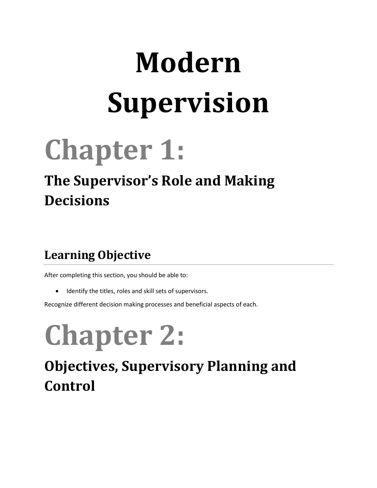# **Modern Supervision**

## **Chapter 1:**

### **The Supervisor's Role and Making Decisions**

#### **Learning Objective**

After completing this section, you should be able to:

• Identify the titles, roles and skill sets of supervisors.

Recognize different decision making processes and beneficial aspects of each.

# **Chapter 2:**

### **Objectives, Supervisory Planning and Control**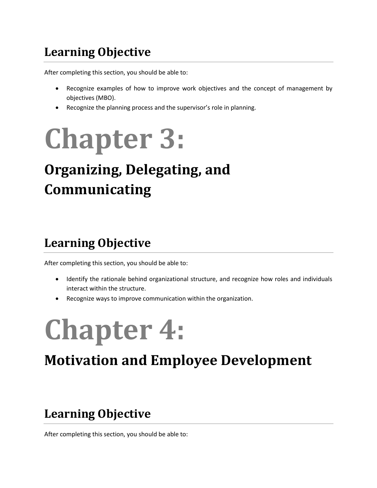#### **Learning Objective**

After completing this section, you should be able to:

- Recognize examples of how to improve work objectives and the concept of management by objectives (MBO).
- Recognize the planning process and the supervisor's role in planning.

## **Chapter 3:**

### **Organizing, Delegating, and Communicating**

#### **Learning Objective**

After completing this section, you should be able to:

- Identify the rationale behind organizational structure, and recognize how roles and individuals interact within the structure.
- Recognize ways to improve communication within the organization.

## **Chapter 4:**

### **Motivation and Employee Development**

#### **Learning Objective**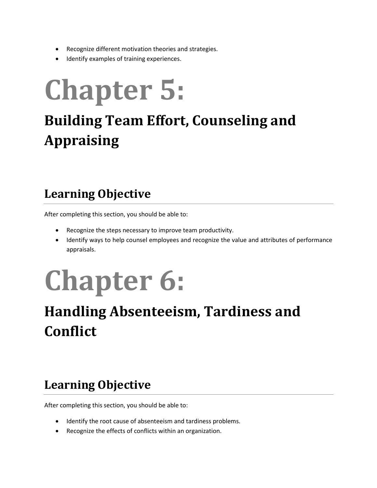- Recognize different motivation theories and strategies.
- Identify examples of training experiences.

## **Chapter 5:**

### **Building Team Effort, Counseling and Appraising**

#### **Learning Objective**

After completing this section, you should be able to:

- Recognize the steps necessary to improve team productivity.
- Identify ways to help counsel employees and recognize the value and attributes of performance appraisals.

# **Chapter 6:**

### **Handling Absenteeism, Tardiness and Conflict**

#### **Learning Objective**

- Identify the root cause of absenteeism and tardiness problems.
- Recognize the effects of conflicts within an organization.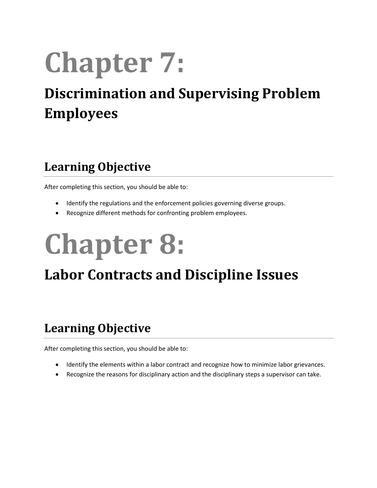# **Chapter 7:**

### **Discrimination and Supervising Problem Employees**

#### **Learning Objective**

After completing this section, you should be able to:

- Identify the regulations and the enforcement policies governing diverse groups.
- Recognize different methods for confronting problem employees.

# **Chapter 8:**

### **Labor Contracts and Discipline Issues**

#### **Learning Objective**

- Identify the elements within a labor contract and recognize how to minimize labor grievances.
- Recognize the reasons for disciplinary action and the disciplinary steps a supervisor can take.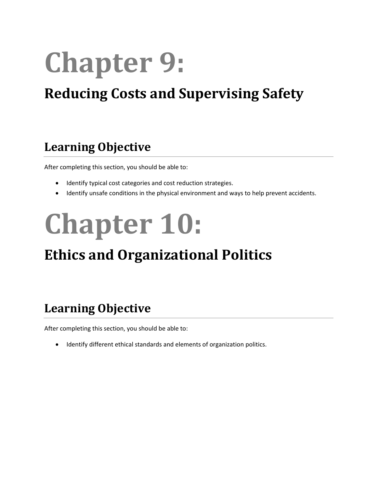# **Chapter 9:**

### **Reducing Costs and Supervising Safety**

#### **Learning Objective**

After completing this section, you should be able to:

- Identify typical cost categories and cost reduction strategies.
- Identify unsafe conditions in the physical environment and ways to help prevent accidents.

# **Chapter 10:**

### **Ethics and Organizational Politics**

#### **Learning Objective**

After completing this section, you should be able to:

• Identify different ethical standards and elements of organization politics.